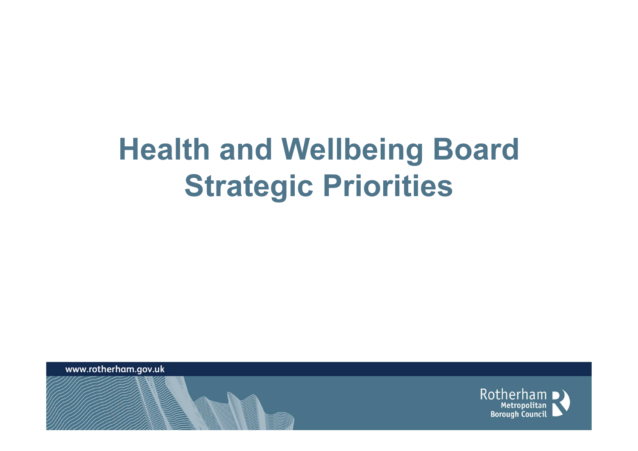## Health and Wellbeing Board Strategic Priorities

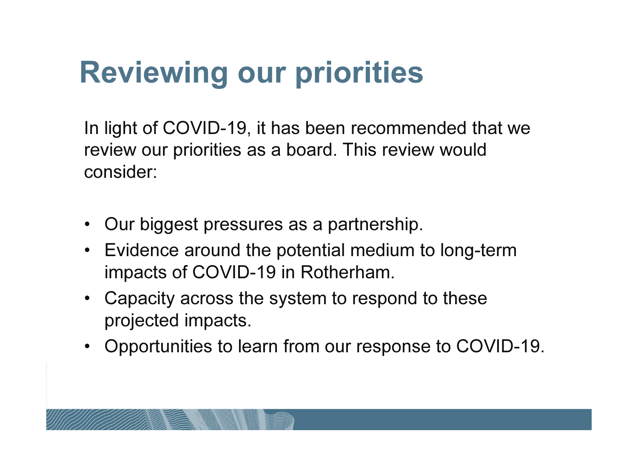## Reviewing our priorities

In light of COVID-19, it has been recommended that we review our priorities as a board. This review would consider:

- •Our biggest pressures as a partnership.
- Evidence around the potential medium to long-term impacts of COVID-19 in Rotherham.
- Capacity across the system to respond to these projected impacts.
- Opportunities to learn from our response to COVID-19.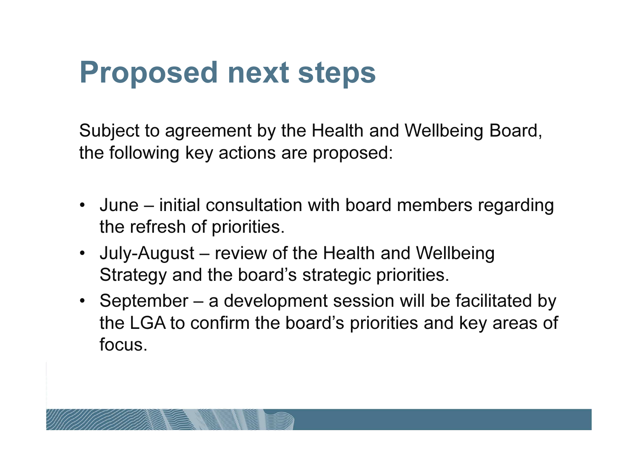## Proposed next steps

Subject to agreement by the Health and Wellbeing Board, the following key actions are proposed:

- June initial consultation with board members regarding the refresh of priorities.
- July-August review of the Health and Wellbeing Strategy and the board's strategic priorities.
- September a development session will be facilitated by the LGA to confirm the board's priorities and key areas of focus.